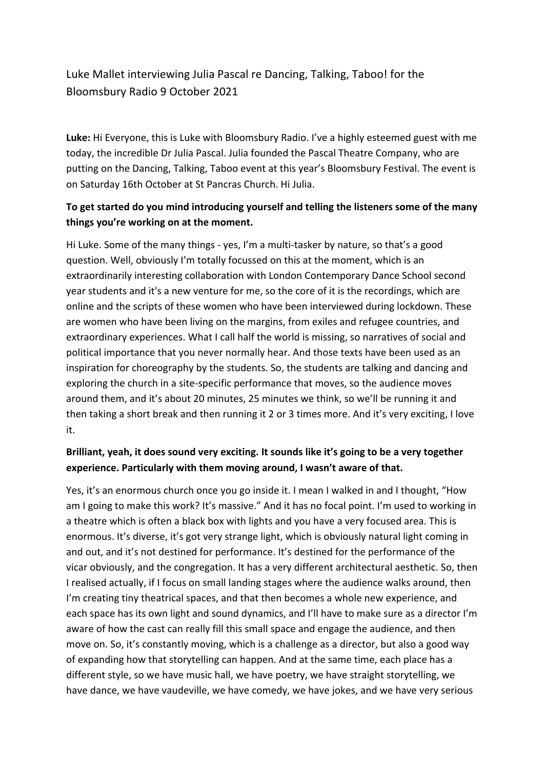# Luke Mallet interviewing Julia Pascal re Dancing, Talking, Taboo! for the Bloomsbury Radio 9 October 2021

**Luke:** Hi Everyone, this is Luke with Bloomsbury Radio. I've a highly esteemed guest with me today, the incredible Dr Julia Pascal. Julia founded the Pascal Theatre Company, who are putting on the Dancing, Talking, Taboo event at this year's Bloomsbury Festival. The event is on Saturday 16th October at St Pancras Church. Hi Julia.

### **To get started do you mind introducing yourself and telling the listeners some of the many things you're working on at the moment.**

Hi Luke. Some of the many things - yes, I'm a multi-tasker by nature, so that's a good question. Well, obviously I'm totally focussed on this at the moment, which is an extraordinarily interesting collaboration with London Contemporary Dance School second year students and it's a new venture for me, so the core of it is the recordings, which are online and the scripts of these women who have been interviewed during lockdown. These are women who have been living on the margins, from exiles and refugee countries, and extraordinary experiences. What I call half the world is missing, so narratives of social and political importance that you never normally hear. And those texts have been used as an inspiration for choreography by the students. So, the students are talking and dancing and exploring the church in a site-specific performance that moves, so the audience moves around them, and it's about 20 minutes, 25 minutes we think, so we'll be running it and then taking a short break and then running it 2 or 3 times more. And it's very exciting, I love it.

## **Brilliant, yeah, it does sound very exciting. It sounds like it's going to be a very together experience. Particularly with them moving around, I wasn't aware of that.**

Yes, it's an enormous church once you go inside it. I mean I walked in and I thought, "How am I going to make this work? It's massive." And it has no focal point. I'm used to working in a theatre which is often a black box with lights and you have a very focused area. This is enormous. It's diverse, it's got very strange light, which is obviously natural light coming in and out, and it's not destined for performance. It's destined for the performance of the vicar obviously, and the congregation. It has a very different architectural aesthetic. So, then I realised actually, if I focus on small landing stages where the audience walks around, then I'm creating tiny theatrical spaces, and that then becomes a whole new experience, and each space has its own light and sound dynamics, and I'll have to make sure as a director I'm aware of how the cast can really fill this small space and engage the audience, and then move on. So, it's constantly moving, which is a challenge as a director, but also a good way of expanding how that storytelling can happen. And at the same time, each place has a different style, so we have music hall, we have poetry, we have straight storytelling, we have dance, we have vaudeville, we have comedy, we have jokes, and we have very serious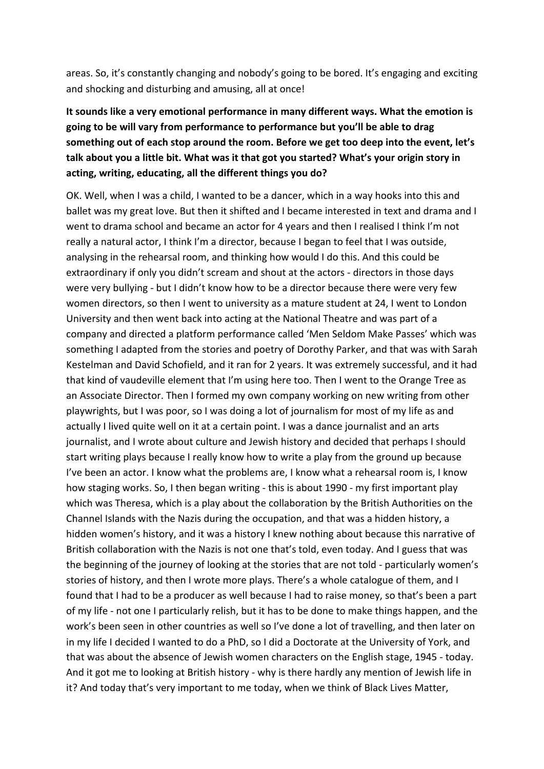areas. So, it's constantly changing and nobody's going to be bored. It's engaging and exciting and shocking and disturbing and amusing, all at once!

# **It sounds like a very emotional performance in many different ways. What the emotion is going to be will vary from performance to performance but you'll be able to drag something out of each stop around the room. Before we get too deep into the event, let's talk about you a little bit. What was it that got you started? What's your origin story in acting, writing, educating, all the different things you do?**

OK. Well, when I was a child, I wanted to be a dancer, which in a way hooks into this and ballet was my great love. But then it shifted and I became interested in text and drama and I went to drama school and became an actor for 4 years and then I realised I think I'm not really a natural actor, I think I'm a director, because I began to feel that I was outside, analysing in the rehearsal room, and thinking how would I do this. And this could be extraordinary if only you didn't scream and shout at the actors - directors in those days were very bullying - but I didn't know how to be a director because there were very few women directors, so then I went to university as a mature student at 24, I went to London University and then went back into acting at the National Theatre and was part of a company and directed a platform performance called 'Men Seldom Make Passes' which was something I adapted from the stories and poetry of Dorothy Parker, and that was with Sarah Kestelman and David Schofield, and it ran for 2 years. It was extremely successful, and it had that kind of vaudeville element that I'm using here too. Then I went to the Orange Tree as an Associate Director. Then I formed my own company working on new writing from other playwrights, but I was poor, so I was doing a lot of journalism for most of my life as and actually I lived quite well on it at a certain point. I was a dance journalist and an arts journalist, and I wrote about culture and Jewish history and decided that perhaps I should start writing plays because I really know how to write a play from the ground up because I've been an actor. I know what the problems are, I know what a rehearsal room is, I know how staging works. So, I then began writing - this is about 1990 - my first important play which was Theresa, which is a play about the collaboration by the British Authorities on the Channel Islands with the Nazis during the occupation, and that was a hidden history, a hidden women's history, and it was a history I knew nothing about because this narrative of British collaboration with the Nazis is not one that's told, even today. And I guess that was the beginning of the journey of looking at the stories that are not told - particularly women's stories of history, and then I wrote more plays. There's a whole catalogue of them, and I found that I had to be a producer as well because I had to raise money, so that's been a part of my life - not one I particularly relish, but it has to be done to make things happen, and the work's been seen in other countries as well so I've done a lot of travelling, and then later on in my life I decided I wanted to do a PhD, so I did a Doctorate at the University of York, and that was about the absence of Jewish women characters on the English stage, 1945 - today. And it got me to looking at British history - why is there hardly any mention of Jewish life in it? And today that's very important to me today, when we think of Black Lives Matter,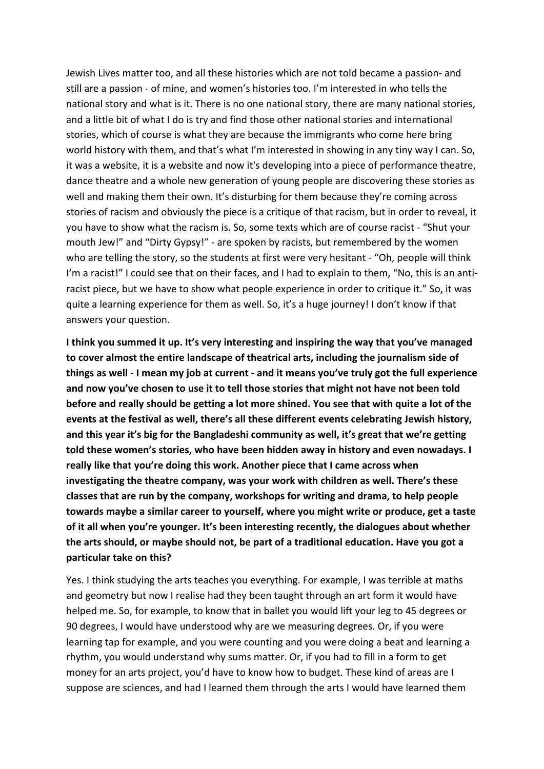Jewish Lives matter too, and all these histories which are not told became a passion- and still are a passion - of mine, and women's histories too. I'm interested in who tells the national story and what is it. There is no one national story, there are many national stories, and a little bit of what I do is try and find those other national stories and international stories, which of course is what they are because the immigrants who come here bring world history with them, and that's what I'm interested in showing in any tiny way I can. So, it was a website, it is a website and now it's developing into a piece of performance theatre, dance theatre and a whole new generation of young people are discovering these stories as well and making them their own. It's disturbing for them because they're coming across stories of racism and obviously the piece is a critique of that racism, but in order to reveal, it you have to show what the racism is. So, some texts which are of course racist - "Shut your mouth Jew!" and "Dirty Gypsy!" - are spoken by racists, but remembered by the women who are telling the story, so the students at first were very hesitant - "Oh, people will think I'm a racist!" I could see that on their faces, and I had to explain to them, "No, this is an antiracist piece, but we have to show what people experience in order to critique it." So, it was quite a learning experience for them as well. So, it's a huge journey! I don't know if that answers your question.

**I think you summed it up. It's very interesting and inspiring the way that you've managed to cover almost the entire landscape of theatrical arts, including the journalism side of things as well - I mean my job at current - and it means you've truly got the full experience and now you've chosen to use it to tell those stories that might not have not been told before and really should be getting a lot more shined. You see that with quite a lot of the events at the festival as well, there's all these different events celebrating Jewish history, and this year it's big for the Bangladeshi community as well, it's great that we're getting told these women's stories, who have been hidden away in history and even nowadays. I really like that you're doing this work. Another piece that I came across when investigating the theatre company, was your work with children as well. There's these classes that are run by the company, workshops for writing and drama, to help people towards maybe a similar career to yourself, where you might write or produce, get a taste of it all when you're younger. It's been interesting recently, the dialogues about whether the arts should, or maybe should not, be part of a traditional education. Have you got a particular take on this?**

Yes. I think studying the arts teaches you everything. For example, I was terrible at maths and geometry but now I realise had they been taught through an art form it would have helped me. So, for example, to know that in ballet you would lift your leg to 45 degrees or 90 degrees, I would have understood why are we measuring degrees. Or, if you were learning tap for example, and you were counting and you were doing a beat and learning a rhythm, you would understand why sums matter. Or, if you had to fill in a form to get money for an arts project, you'd have to know how to budget. These kind of areas are I suppose are sciences, and had I learned them through the arts I would have learned them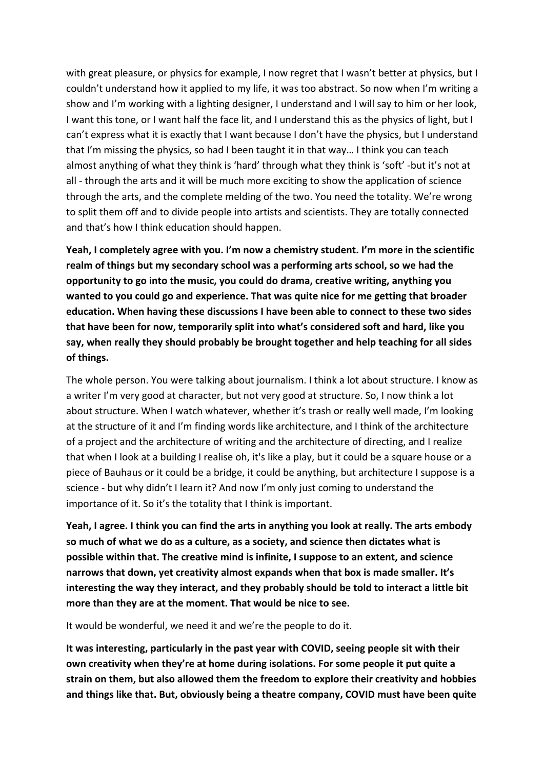with great pleasure, or physics for example, I now regret that I wasn't better at physics, but I couldn't understand how it applied to my life, it was too abstract. So now when I'm writing a show and I'm working with a lighting designer, I understand and I will say to him or her look, I want this tone, or I want half the face lit, and I understand this as the physics of light, but I can't express what it is exactly that I want because I don't have the physics, but I understand that I'm missing the physics, so had I been taught it in that way… I think you can teach almost anything of what they think is 'hard' through what they think is 'soft' -but it's not at all - through the arts and it will be much more exciting to show the application of science through the arts, and the complete melding of the two. You need the totality. We're wrong to split them off and to divide people into artists and scientists. They are totally connected and that's how I think education should happen.

**Yeah, I completely agree with you. I'm now a chemistry student. I'm more in the scientific realm of things but my secondary school was a performing arts school, so we had the opportunity to go into the music, you could do drama, creative writing, anything you wanted to you could go and experience. That was quite nice for me getting that broader education. When having these discussions I have been able to connect to these two sides that have been for now, temporarily split into what's considered soft and hard, like you say, when really they should probably be brought together and help teaching for all sides of things.** 

The whole person. You were talking about journalism. I think a lot about structure. I know as a writer I'm very good at character, but not very good at structure. So, I now think a lot about structure. When I watch whatever, whether it's trash or really well made, I'm looking at the structure of it and I'm finding words like architecture, and I think of the architecture of a project and the architecture of writing and the architecture of directing, and I realize that when I look at a building I realise oh, it's like a play, but it could be a square house or a piece of Bauhaus or it could be a bridge, it could be anything, but architecture I suppose is a science - but why didn't I learn it? And now I'm only just coming to understand the importance of it. So it's the totality that I think is important.

**Yeah, I agree. I think you can find the arts in anything you look at really. The arts embody so much of what we do as a culture, as a society, and science then dictates what is possible within that. The creative mind is infinite, I suppose to an extent, and science narrows that down, yet creativity almost expands when that box is made smaller. It's interesting the way they interact, and they probably should be told to interact a little bit more than they are at the moment. That would be nice to see.**

It would be wonderful, we need it and we're the people to do it.

**It was interesting, particularly in the past year with COVID, seeing people sit with their own creativity when they're at home during isolations. For some people it put quite a strain on them, but also allowed them the freedom to explore their creativity and hobbies and things like that. But, obviously being a theatre company, COVID must have been quite**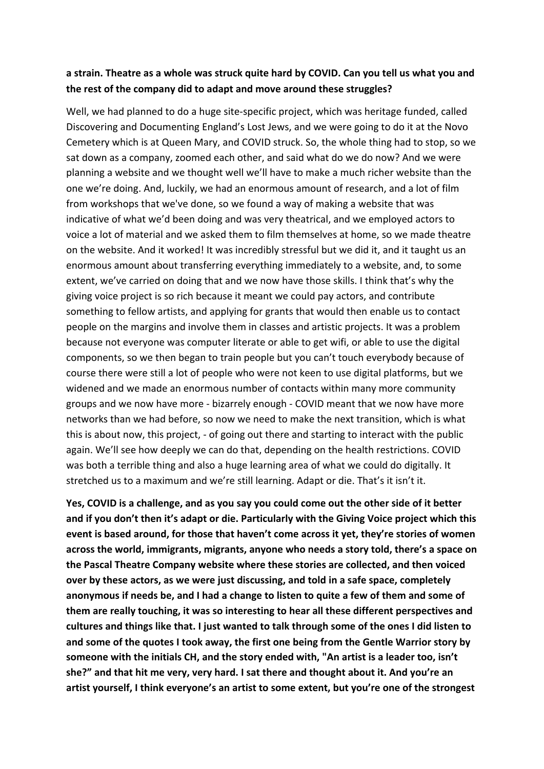#### **a strain. Theatre as a whole was struck quite hard by COVID. Can you tell us what you and the rest of the company did to adapt and move around these struggles?**

Well, we had planned to do a huge site-specific project, which was heritage funded, called Discovering and Documenting England's Lost Jews, and we were going to do it at the Novo Cemetery which is at Queen Mary, and COVID struck. So, the whole thing had to stop, so we sat down as a company, zoomed each other, and said what do we do now? And we were planning a website and we thought well we'll have to make a much richer website than the one we're doing. And, luckily, we had an enormous amount of research, and a lot of film from workshops that we've done, so we found a way of making a website that was indicative of what we'd been doing and was very theatrical, and we employed actors to voice a lot of material and we asked them to film themselves at home, so we made theatre on the website. And it worked! It was incredibly stressful but we did it, and it taught us an enormous amount about transferring everything immediately to a website, and, to some extent, we've carried on doing that and we now have those skills. I think that's why the giving voice project is so rich because it meant we could pay actors, and contribute something to fellow artists, and applying for grants that would then enable us to contact people on the margins and involve them in classes and artistic projects. It was a problem because not everyone was computer literate or able to get wifi, or able to use the digital components, so we then began to train people but you can't touch everybody because of course there were still a lot of people who were not keen to use digital platforms, but we widened and we made an enormous number of contacts within many more community groups and we now have more - bizarrely enough - COVID meant that we now have more networks than we had before, so now we need to make the next transition, which is what this is about now, this project, - of going out there and starting to interact with the public again. We'll see how deeply we can do that, depending on the health restrictions. COVID was both a terrible thing and also a huge learning area of what we could do digitally. It stretched us to a maximum and we're still learning. Adapt or die. That's it isn't it.

**Yes, COVID is a challenge, and as you say you could come out the other side of it better and if you don't then it's adapt or die. Particularly with the Giving Voice project which this event is based around, for those that haven't come across it yet, they're stories of women across the world, immigrants, migrants, anyone who needs a story told, there's a space on the Pascal Theatre Company website where these stories are collected, and then voiced over by these actors, as we were just discussing, and told in a safe space, completely anonymous if needs be, and I had a change to listen to quite a few of them and some of them are really touching, it was so interesting to hear all these different perspectives and cultures and things like that. I just wanted to talk through some of the ones I did listen to and some of the quotes I took away, the first one being from the Gentle Warrior story by someone with the initials CH, and the story ended with, "An artist is a leader too, isn't she?" and that hit me very, very hard. I sat there and thought about it. And you're an artist yourself, I think everyone's an artist to some extent, but you're one of the strongest**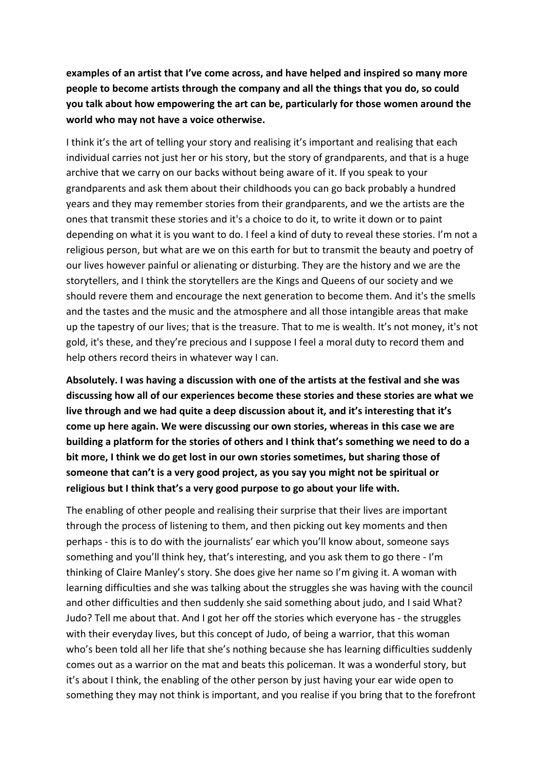**examples of an artist that I've come across, and have helped and inspired so many more people to become artists through the company and all the things that you do, so could you talk about how empowering the art can be, particularly for those women around the world who may not have a voice otherwise.** 

I think it's the art of telling your story and realising it's important and realising that each individual carries not just her or his story, but the story of grandparents, and that is a huge archive that we carry on our backs without being aware of it. If you speak to your grandparents and ask them about their childhoods you can go back probably a hundred years and they may remember stories from their grandparents, and we the artists are the ones that transmit these stories and it's a choice to do it, to write it down or to paint depending on what it is you want to do. I feel a kind of duty to reveal these stories. I'm not a religious person, but what are we on this earth for but to transmit the beauty and poetry of our lives however painful or alienating or disturbing. They are the history and we are the storytellers, and I think the storytellers are the Kings and Queens of our society and we should revere them and encourage the next generation to become them. And it's the smells and the tastes and the music and the atmosphere and all those intangible areas that make up the tapestry of our lives; that is the treasure. That to me is wealth. It's not money, it's not gold, it's these, and they're precious and I suppose I feel a moral duty to record them and help others record theirs in whatever way I can.

**Absolutely. I was having a discussion with one of the artists at the festival and she was discussing how all of our experiences become these stories and these stories are what we live through and we had quite a deep discussion about it, and it's interesting that it's come up here again. We were discussing our own stories, whereas in this case we are building a platform for the stories of others and I think that's something we need to do a bit more, I think we do get lost in our own stories sometimes, but sharing those of someone that can't is a very good project, as you say you might not be spiritual or religious but I think that's a very good purpose to go about your life with.** 

The enabling of other people and realising their surprise that their lives are important through the process of listening to them, and then picking out key moments and then perhaps - this is to do with the journalists' ear which you'll know about, someone says something and you'll think hey, that's interesting, and you ask them to go there - I'm thinking of Claire Manley's story. She does give her name so I'm giving it. A woman with learning difficulties and she was talking about the struggles she was having with the council and other difficulties and then suddenly she said something about judo, and I said What? Judo? Tell me about that. And I got her off the stories which everyone has - the struggles with their everyday lives, but this concept of Judo, of being a warrior, that this woman who's been told all her life that she's nothing because she has learning difficulties suddenly comes out as a warrior on the mat and beats this policeman. It was a wonderful story, but it's about I think, the enabling of the other person by just having your ear wide open to something they may not think is important, and you realise if you bring that to the forefront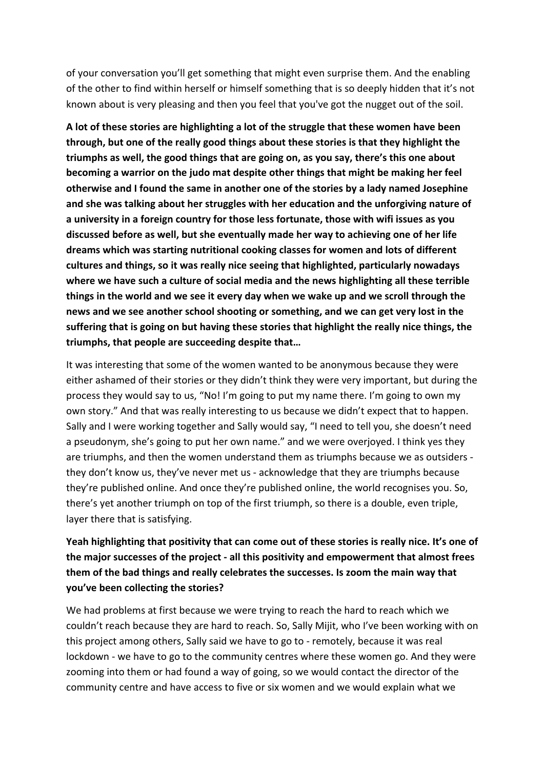of your conversation you'll get something that might even surprise them. And the enabling of the other to find within herself or himself something that is so deeply hidden that it's not known about is very pleasing and then you feel that you've got the nugget out of the soil.

**A lot of these stories are highlighting a lot of the struggle that these women have been through, but one of the really good things about these stories is that they highlight the triumphs as well, the good things that are going on, as you say, there's this one about becoming a warrior on the judo mat despite other things that might be making her feel otherwise and I found the same in another one of the stories by a lady named Josephine and she was talking about her struggles with her education and the unforgiving nature of a university in a foreign country for those less fortunate, those with wifi issues as you discussed before as well, but she eventually made her way to achieving one of her life dreams which was starting nutritional cooking classes for women and lots of different cultures and things, so it was really nice seeing that highlighted, particularly nowadays where we have such a culture of social media and the news highlighting all these terrible things in the world and we see it every day when we wake up and we scroll through the news and we see another school shooting or something, and we can get very lost in the suffering that is going on but having these stories that highlight the really nice things, the triumphs, that people are succeeding despite that…** 

It was interesting that some of the women wanted to be anonymous because they were either ashamed of their stories or they didn't think they were very important, but during the process they would say to us, "No! I'm going to put my name there. I'm going to own my own story." And that was really interesting to us because we didn't expect that to happen. Sally and I were working together and Sally would say, "I need to tell you, she doesn't need a pseudonym, she's going to put her own name." and we were overjoyed. I think yes they are triumphs, and then the women understand them as triumphs because we as outsiders they don't know us, they've never met us - acknowledge that they are triumphs because they're published online. And once they're published online, the world recognises you. So, there's yet another triumph on top of the first triumph, so there is a double, even triple, layer there that is satisfying.

## **Yeah highlighting that positivity that can come out of these stories is really nice. It's one of the major successes of the project - all this positivity and empowerment that almost frees them of the bad things and really celebrates the successes. Is zoom the main way that you've been collecting the stories?**

We had problems at first because we were trying to reach the hard to reach which we couldn't reach because they are hard to reach. So, Sally Mijit, who I've been working with on this project among others, Sally said we have to go to - remotely, because it was real lockdown - we have to go to the community centres where these women go. And they were zooming into them or had found a way of going, so we would contact the director of the community centre and have access to five or six women and we would explain what we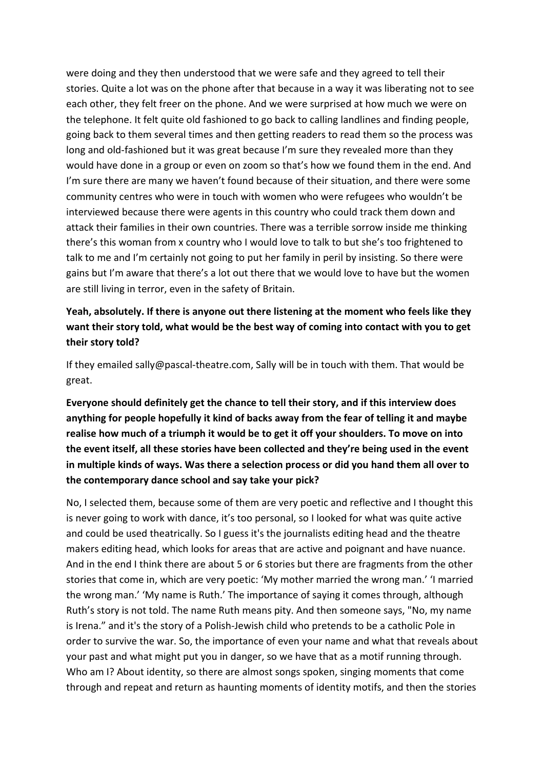were doing and they then understood that we were safe and they agreed to tell their stories. Quite a lot was on the phone after that because in a way it was liberating not to see each other, they felt freer on the phone. And we were surprised at how much we were on the telephone. It felt quite old fashioned to go back to calling landlines and finding people, going back to them several times and then getting readers to read them so the process was long and old-fashioned but it was great because I'm sure they revealed more than they would have done in a group or even on zoom so that's how we found them in the end. And I'm sure there are many we haven't found because of their situation, and there were some community centres who were in touch with women who were refugees who wouldn't be interviewed because there were agents in this country who could track them down and attack their families in their own countries. There was a terrible sorrow inside me thinking there's this woman from x country who I would love to talk to but she's too frightened to talk to me and I'm certainly not going to put her family in peril by insisting. So there were gains but I'm aware that there's a lot out there that we would love to have but the women are still living in terror, even in the safety of Britain.

### **Yeah, absolutely. If there is anyone out there listening at the moment who feels like they want their story told, what would be the best way of coming into contact with you to get their story told?**

If they emailed sally@pascal-theatre.com, Sally will be in touch with them. That would be great.

**Everyone should definitely get the chance to tell their story, and if this interview does anything for people hopefully it kind of backs away from the fear of telling it and maybe realise how much of a triumph it would be to get it off your shoulders. To move on into the event itself, all these stories have been collected and they're being used in the event in multiple kinds of ways. Was there a selection process or did you hand them all over to the contemporary dance school and say take your pick?** 

No, I selected them, because some of them are very poetic and reflective and I thought this is never going to work with dance, it's too personal, so I looked for what was quite active and could be used theatrically. So I guess it's the journalists editing head and the theatre makers editing head, which looks for areas that are active and poignant and have nuance. And in the end I think there are about 5 or 6 stories but there are fragments from the other stories that come in, which are very poetic: 'My mother married the wrong man.' 'I married the wrong man.' 'My name is Ruth.' The importance of saying it comes through, although Ruth's story is not told. The name Ruth means pity. And then someone says, "No, my name is Irena." and it's the story of a Polish-Jewish child who pretends to be a catholic Pole in order to survive the war. So, the importance of even your name and what that reveals about your past and what might put you in danger, so we have that as a motif running through. Who am I? About identity, so there are almost songs spoken, singing moments that come through and repeat and return as haunting moments of identity motifs, and then the stories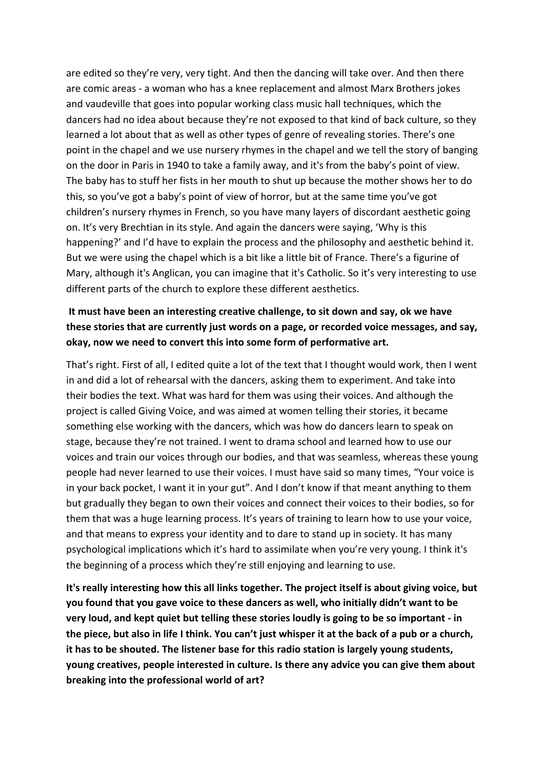are edited so they're very, very tight. And then the dancing will take over. And then there are comic areas - a woman who has a knee replacement and almost Marx Brothers jokes and vaudeville that goes into popular working class music hall techniques, which the dancers had no idea about because they're not exposed to that kind of back culture, so they learned a lot about that as well as other types of genre of revealing stories. There's one point in the chapel and we use nursery rhymes in the chapel and we tell the story of banging on the door in Paris in 1940 to take a family away, and it's from the baby's point of view. The baby has to stuff her fists in her mouth to shut up because the mother shows her to do this, so you've got a baby's point of view of horror, but at the same time you've got children's nursery rhymes in French, so you have many layers of discordant aesthetic going on. It's very Brechtian in its style. And again the dancers were saying, 'Why is this happening?' and I'd have to explain the process and the philosophy and aesthetic behind it. But we were using the chapel which is a bit like a little bit of France. There's a figurine of Mary, although it's Anglican, you can imagine that it's Catholic. So it's very interesting to use different parts of the church to explore these different aesthetics.

## **It must have been an interesting creative challenge, to sit down and say, ok we have these stories that are currently just words on a page, or recorded voice messages, and say, okay, now we need to convert this into some form of performative art.**

That's right. First of all, I edited quite a lot of the text that I thought would work, then I went in and did a lot of rehearsal with the dancers, asking them to experiment. And take into their bodies the text. What was hard for them was using their voices. And although the project is called Giving Voice, and was aimed at women telling their stories, it became something else working with the dancers, which was how do dancers learn to speak on stage, because they're not trained. I went to drama school and learned how to use our voices and train our voices through our bodies, and that was seamless, whereas these young people had never learned to use their voices. I must have said so many times, "Your voice is in your back pocket, I want it in your gut". And I don't know if that meant anything to them but gradually they began to own their voices and connect their voices to their bodies, so for them that was a huge learning process. It's years of training to learn how to use your voice, and that means to express your identity and to dare to stand up in society. It has many psychological implications which it's hard to assimilate when you're very young. I think it's the beginning of a process which they're still enjoying and learning to use.

**It's really interesting how this all links together. The project itself is about giving voice, but you found that you gave voice to these dancers as well, who initially didn't want to be very loud, and kept quiet but telling these stories loudly is going to be so important - in the piece, but also in life I think. You can't just whisper it at the back of a pub or a church, it has to be shouted. The listener base for this radio station is largely young students, young creatives, people interested in culture. Is there any advice you can give them about breaking into the professional world of art?**